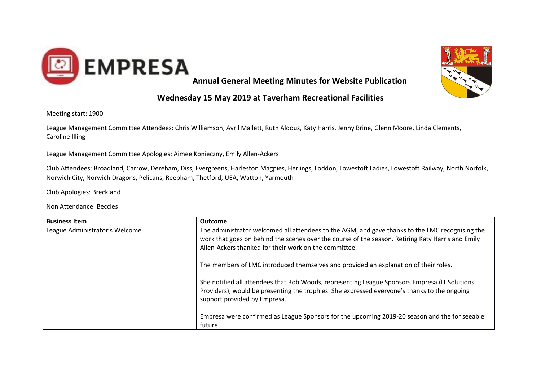



## **Wednesday 15 May 2019 at Taverham Recreational Facilities**

Meeting start: 1900

League Management Committee Attendees: Chris Williamson, Avril Mallett, Ruth Aldous, Katy Harris, Jenny Brine, Glenn Moore, Linda Clements, Caroline Illing

League Management Committee Apologies: Aimee Konieczny, Emily Allen-Ackers

Club Attendees: Broadland, Carrow, Dereham, Diss, Evergreens, Harleston Magpies, Herlings, Loddon, Lowestoft Ladies, Lowestoft Railway, North Norfolk, Norwich City, Norwich Dragons, Pelicans, Reepham, Thetford, UEA, Watton, Yarmouth

Club Apologies: Breckland

Non Attendance: Beccles

| The administrator welcomed all attendees to the AGM, and gave thanks to the LMC recognising the                              |
|------------------------------------------------------------------------------------------------------------------------------|
|                                                                                                                              |
| work that goes on behind the scenes over the course of the season. Retiring Katy Harris and Emily                            |
| Allen-Ackers thanked for their work on the committee.                                                                        |
|                                                                                                                              |
| The members of LMC introduced themselves and provided an explanation of their roles.                                         |
|                                                                                                                              |
| She notified all attendees that Rob Woods, representing League Sponsors Empresa (IT Solutions                                |
| Providers), would be presenting the trophies. She expressed everyone's thanks to the ongoing<br>support provided by Empresa. |
|                                                                                                                              |
| Empresa were confirmed as League Sponsors for the upcoming 2019-20 season and the for seeable                                |
| future                                                                                                                       |
|                                                                                                                              |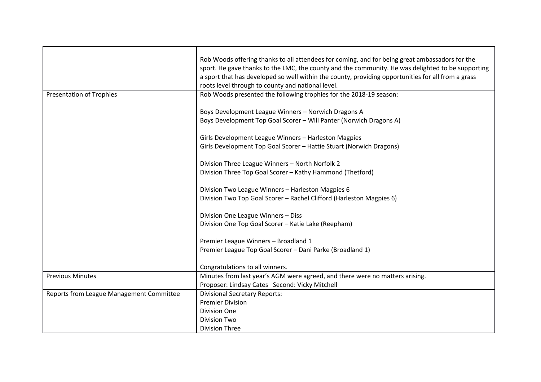|                                          | Rob Woods offering thanks to all attendees for coming, and for being great ambassadors for the     |
|------------------------------------------|----------------------------------------------------------------------------------------------------|
|                                          | sport. He gave thanks to the LMC, the county and the community. He was delighted to be supporting  |
|                                          | a sport that has developed so well within the county, providing opportunities for all from a grass |
|                                          | roots level through to county and national level.                                                  |
| <b>Presentation of Trophies</b>          | Rob Woods presented the following trophies for the 2018-19 season:                                 |
|                                          |                                                                                                    |
|                                          | Boys Development League Winners - Norwich Dragons A                                                |
|                                          | Boys Development Top Goal Scorer - Will Panter (Norwich Dragons A)                                 |
|                                          | Girls Development League Winners - Harleston Magpies                                               |
|                                          | Girls Development Top Goal Scorer - Hattie Stuart (Norwich Dragons)                                |
|                                          | Division Three League Winners - North Norfolk 2                                                    |
|                                          | Division Three Top Goal Scorer - Kathy Hammond (Thetford)                                          |
|                                          |                                                                                                    |
|                                          | Division Two League Winners - Harleston Magpies 6                                                  |
|                                          | Division Two Top Goal Scorer - Rachel Clifford (Harleston Magpies 6)                               |
|                                          | Division One League Winners - Diss                                                                 |
|                                          | Division One Top Goal Scorer - Katie Lake (Reepham)                                                |
|                                          |                                                                                                    |
|                                          | Premier League Winners - Broadland 1                                                               |
|                                          | Premier League Top Goal Scorer - Dani Parke (Broadland 1)                                          |
|                                          |                                                                                                    |
|                                          | Congratulations to all winners.                                                                    |
| <b>Previous Minutes</b>                  | Minutes from last year's AGM were agreed, and there were no matters arising.                       |
|                                          | Proposer: Lindsay Cates Second: Vicky Mitchell                                                     |
| Reports from League Management Committee | <b>Divisional Secretary Reports:</b>                                                               |
|                                          | <b>Premier Division</b>                                                                            |
|                                          | <b>Division One</b>                                                                                |
|                                          | <b>Division Two</b>                                                                                |
|                                          | <b>Division Three</b>                                                                              |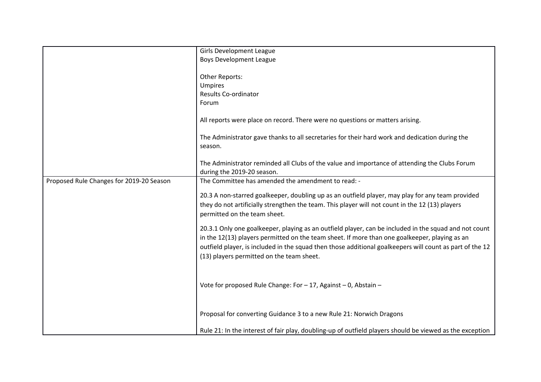|                                          | <b>Girls Development League</b>                                                                          |
|------------------------------------------|----------------------------------------------------------------------------------------------------------|
|                                          | <b>Boys Development League</b>                                                                           |
|                                          |                                                                                                          |
|                                          | Other Reports:                                                                                           |
|                                          | Umpires                                                                                                  |
|                                          | <b>Results Co-ordinator</b>                                                                              |
|                                          | Forum                                                                                                    |
|                                          |                                                                                                          |
|                                          | All reports were place on record. There were no questions or matters arising.                            |
|                                          | The Administrator gave thanks to all secretaries for their hard work and dedication during the           |
|                                          | season.                                                                                                  |
|                                          |                                                                                                          |
|                                          | The Administrator reminded all Clubs of the value and importance of attending the Clubs Forum            |
|                                          | during the 2019-20 season.                                                                               |
| Proposed Rule Changes for 2019-20 Season | The Committee has amended the amendment to read: -                                                       |
|                                          |                                                                                                          |
|                                          | 20.3 A non-starred goalkeeper, doubling up as an outfield player, may play for any team provided         |
|                                          | they do not artificially strengthen the team. This player will not count in the 12 (13) players          |
|                                          | permitted on the team sheet.                                                                             |
|                                          |                                                                                                          |
|                                          | 20.3.1 Only one goalkeeper, playing as an outfield player, can be included in the squad and not count    |
|                                          | in the 12(13) players permitted on the team sheet. If more than one goalkeeper, playing as an            |
|                                          | outfield player, is included in the squad then those additional goalkeepers will count as part of the 12 |
|                                          | (13) players permitted on the team sheet.                                                                |
|                                          |                                                                                                          |
|                                          |                                                                                                          |
|                                          |                                                                                                          |
|                                          | Vote for proposed Rule Change: For - 17, Against - 0, Abstain -                                          |
|                                          |                                                                                                          |
|                                          |                                                                                                          |
|                                          | Proposal for converting Guidance 3 to a new Rule 21: Norwich Dragons                                     |
|                                          |                                                                                                          |
|                                          | Rule 21: In the interest of fair play, doubling-up of outfield players should be viewed as the exception |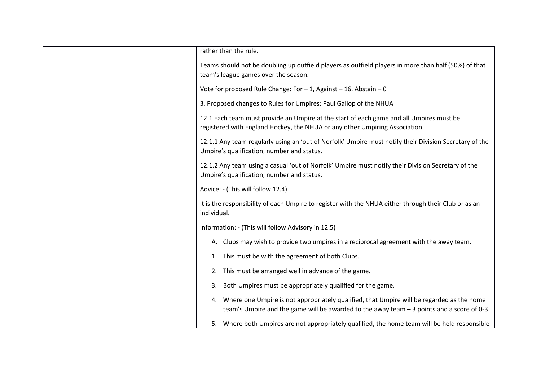| rather than the rule.                                                                                                                                |
|------------------------------------------------------------------------------------------------------------------------------------------------------|
| Teams should not be doubling up outfield players as outfield players in more than half (50%) of that                                                 |
| team's league games over the season.                                                                                                                 |
| Vote for proposed Rule Change: For $-1$ , Against $-16$ , Abstain $-0$                                                                               |
| 3. Proposed changes to Rules for Umpires: Paul Gallop of the NHUA                                                                                    |
| 12.1 Each team must provide an Umpire at the start of each game and all Umpires must be                                                              |
| registered with England Hockey, the NHUA or any other Umpiring Association.                                                                          |
| 12.1.1 Any team regularly using an 'out of Norfolk' Umpire must notify their Division Secretary of the<br>Umpire's qualification, number and status. |
| 12.1.2 Any team using a casual 'out of Norfolk' Umpire must notify their Division Secretary of the<br>Umpire's qualification, number and status.     |
| Advice: - (This will follow 12.4)                                                                                                                    |
| It is the responsibility of each Umpire to register with the NHUA either through their Club or as an<br>individual.                                  |
| Information: - (This will follow Advisory in 12.5)                                                                                                   |
| A. Clubs may wish to provide two umpires in a reciprocal agreement with the away team.                                                               |
| This must be with the agreement of both Clubs.                                                                                                       |
| This must be arranged well in advance of the game.<br>2.                                                                                             |
| Both Umpires must be appropriately qualified for the game.                                                                                           |
| Where one Umpire is not appropriately qualified, that Umpire will be regarded as the home<br>4.                                                      |
| team's Umpire and the game will be awarded to the away team - 3 points and a score of 0-3.                                                           |
| 5. Where both Umpires are not appropriately qualified, the home team will be held responsible                                                        |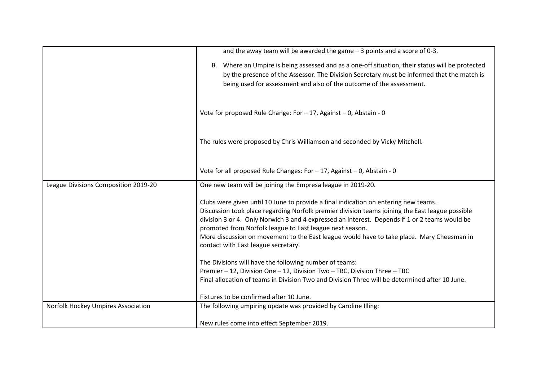|                                      | and the away team will be awarded the game $-3$ points and a score of 0-3.                                                                                                                                                                                                                                                                                                                                                                                                              |
|--------------------------------------|-----------------------------------------------------------------------------------------------------------------------------------------------------------------------------------------------------------------------------------------------------------------------------------------------------------------------------------------------------------------------------------------------------------------------------------------------------------------------------------------|
|                                      | B. Where an Umpire is being assessed and as a one-off situation, their status will be protected<br>by the presence of the Assessor. The Division Secretary must be informed that the match is<br>being used for assessment and also of the outcome of the assessment.                                                                                                                                                                                                                   |
|                                      | Vote for proposed Rule Change: For - 17, Against - 0, Abstain - 0                                                                                                                                                                                                                                                                                                                                                                                                                       |
|                                      | The rules were proposed by Chris Williamson and seconded by Vicky Mitchell.                                                                                                                                                                                                                                                                                                                                                                                                             |
|                                      | Vote for all proposed Rule Changes: For - 17, Against - 0, Abstain - 0                                                                                                                                                                                                                                                                                                                                                                                                                  |
| League Divisions Composition 2019-20 | One new team will be joining the Empresa league in 2019-20.                                                                                                                                                                                                                                                                                                                                                                                                                             |
|                                      | Clubs were given until 10 June to provide a final indication on entering new teams.<br>Discussion took place regarding Norfolk premier division teams joining the East league possible<br>division 3 or 4. Only Norwich 3 and 4 expressed an interest. Depends if 1 or 2 teams would be<br>promoted from Norfolk league to East league next season.<br>More discussion on movement to the East league would have to take place. Mary Cheesman in<br>contact with East league secretary. |
|                                      | The Divisions will have the following number of teams:                                                                                                                                                                                                                                                                                                                                                                                                                                  |
|                                      | Premier - 12, Division One - 12, Division Two - TBC, Division Three - TBC                                                                                                                                                                                                                                                                                                                                                                                                               |
|                                      | Final allocation of teams in Division Two and Division Three will be determined after 10 June.                                                                                                                                                                                                                                                                                                                                                                                          |
|                                      | Fixtures to be confirmed after 10 June.                                                                                                                                                                                                                                                                                                                                                                                                                                                 |
| Norfolk Hockey Umpires Association   | The following umpiring update was provided by Caroline Illing:                                                                                                                                                                                                                                                                                                                                                                                                                          |
|                                      | New rules come into effect September 2019.                                                                                                                                                                                                                                                                                                                                                                                                                                              |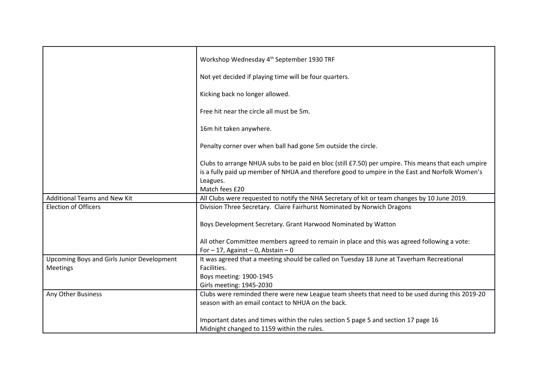|                                            | Workshop Wednesday 4 <sup>th</sup> September 1930 TRF                                                                                                                                                                               |
|--------------------------------------------|-------------------------------------------------------------------------------------------------------------------------------------------------------------------------------------------------------------------------------------|
|                                            | Not yet decided if playing time will be four quarters.                                                                                                                                                                              |
|                                            | Kicking back no longer allowed.                                                                                                                                                                                                     |
|                                            | Free hit near the circle all must be 5m.                                                                                                                                                                                            |
|                                            | 16m hit taken anywhere.                                                                                                                                                                                                             |
|                                            | Penalty corner over when ball had gone 5m outside the circle.                                                                                                                                                                       |
|                                            | Clubs to arrange NHUA subs to be paid en bloc (still £7.50) per umpire. This means that each umpire<br>is a fully paid up member of NHUA and therefore good to umpire in the East and Norfolk Women's<br>Leagues.<br>Match fees £20 |
|                                            |                                                                                                                                                                                                                                     |
| <b>Additional Teams and New Kit</b>        | All Clubs were requested to notify the NHA Secretary of kit or team changes by 10 June 2019.                                                                                                                                        |
| <b>Election of Officers</b>                | Division Three Secretary. Claire Fairhurst Nominated by Norwich Dragons                                                                                                                                                             |
|                                            |                                                                                                                                                                                                                                     |
|                                            | Boys Development Secretary. Grant Harwood Nominated by Watton                                                                                                                                                                       |
|                                            |                                                                                                                                                                                                                                     |
|                                            | All other Committee members agreed to remain in place and this was agreed following a vote:                                                                                                                                         |
|                                            | For $-17$ , Against $-0$ , Abstain $-0$                                                                                                                                                                                             |
| Upcoming Boys and Girls Junior Development | It was agreed that a meeting should be called on Tuesday 18 June at Taverham Recreational                                                                                                                                           |
| Meetings                                   | Facilities.                                                                                                                                                                                                                         |
|                                            | Boys meeting: 1900-1945                                                                                                                                                                                                             |
|                                            | Girls meeting: 1945-2030                                                                                                                                                                                                            |
| Any Other Business                         | Clubs were reminded there were new League team sheets that need to be used during this 2019-20                                                                                                                                      |
|                                            | season with an email contact to NHUA on the back.                                                                                                                                                                                   |
|                                            |                                                                                                                                                                                                                                     |
|                                            | Important dates and times within the rules section 5 page 5 and section 17 page 16                                                                                                                                                  |
|                                            | Midnight changed to 1159 within the rules.                                                                                                                                                                                          |